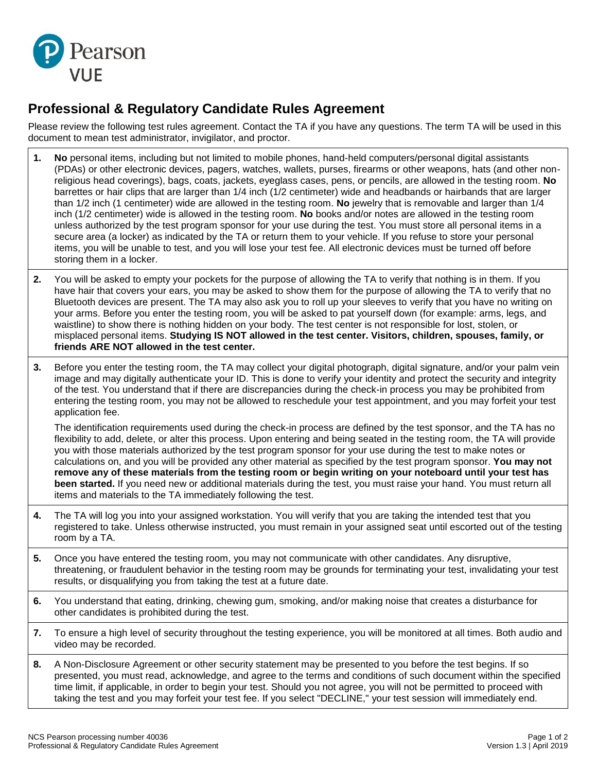

## **Professional & Regulatory Candidate Rules Agreement**

Please review the following test rules agreement. Contact the TA if you have any questions. The term TA will be used in this document to mean test administrator, invigilator, and proctor.

- **1. No** personal items, including but not limited to mobile phones, hand-held computers/personal digital assistants (PDAs) or other electronic devices, pagers, watches, wallets, purses, firearms or other weapons, hats (and other nonreligious head coverings), bags, coats, jackets, eyeglass cases, pens, or pencils, are allowed in the testing room. **No** barrettes or hair clips that are larger than 1/4 inch (1/2 centimeter) wide and headbands or hairbands that are larger than 1/2 inch (1 centimeter) wide are allowed in the testing room. **No** jewelry that is removable and larger than 1/4 inch (1/2 centimeter) wide is allowed in the testing room. **No** books and/or notes are allowed in the testing room unless authorized by the test program sponsor for your use during the test. You must store all personal items in a secure area (a locker) as indicated by the TA or return them to your vehicle. If you refuse to store your personal items, you will be unable to test, and you will lose your test fee. All electronic devices must be turned off before storing them in a locker.
- **2.** You will be asked to empty your pockets for the purpose of allowing the TA to verify that nothing is in them. If you have hair that covers your ears, you may be asked to show them for the purpose of allowing the TA to verify that no Bluetooth devices are present. The TA may also ask you to roll up your sleeves to verify that you have no writing on your arms. Before you enter the testing room, you will be asked to pat yourself down (for example: arms, legs, and waistline) to show there is nothing hidden on your body. The test center is not responsible for lost, stolen, or misplaced personal items. **Studying IS NOT allowed in the test center. Visitors, children, spouses, family, or friends ARE NOT allowed in the test center.**
- **3.** Before you enter the testing room, the TA may collect your digital photograph, digital signature, and/or your palm vein image and may digitally authenticate your ID. This is done to verify your identity and protect the security and integrity of the test. You understand that if there are discrepancies during the check-in process you may be prohibited from entering the testing room, you may not be allowed to reschedule your test appointment, and you may forfeit your test application fee.

The identification requirements used during the check-in process are defined by the test sponsor, and the TA has no flexibility to add, delete, or alter this process. Upon entering and being seated in the testing room, the TA will provide you with those materials authorized by the test program sponsor for your use during the test to make notes or calculations on, and you will be provided any other material as specified by the test program sponsor. **You may not remove any of these materials from the testing room or begin writing on your noteboard until your test has been started.** If you need new or additional materials during the test, you must raise your hand. You must return all items and materials to the TA immediately following the test.

- **4.** The TA will log you into your assigned workstation. You will verify that you are taking the intended test that you registered to take. Unless otherwise instructed, you must remain in your assigned seat until escorted out of the testing room by a TA.
- **5.** Once you have entered the testing room, you may not communicate with other candidates. Any disruptive, threatening, or fraudulent behavior in the testing room may be grounds for terminating your test, invalidating your test results, or disqualifying you from taking the test at a future date.
- **6.** You understand that eating, drinking, chewing gum, smoking, and/or making noise that creates a disturbance for other candidates is prohibited during the test.
- **7.** To ensure a high level of security throughout the testing experience, you will be monitored at all times. Both audio and video may be recorded.
- **8.** A Non-Disclosure Agreement or other security statement may be presented to you before the test begins. If so presented, you must read, acknowledge, and agree to the terms and conditions of such document within the specified time limit, if applicable, in order to begin your test. Should you not agree, you will not be permitted to proceed with taking the test and you may forfeit your test fee. If you select "DECLINE," your test session will immediately end.